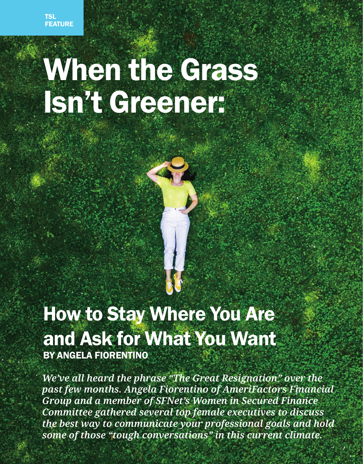120 THE SECURED LENDER **Apple 2022** 

# When the Grass Isn't Greener:

## How to Stay Where You Are and Ask for What You Want BY ANGELA FIORENTINO

*We've all heard the phrase "The Great Resignation" over the past few months. Angela Fiorentino of AmeriFactors Financial Group and a member of SFNet's Women in Secured Finance Committee gathered several top female executives to discuss the best way to communicate your professional goals and hold some of those "tough conversations" in this current climate.*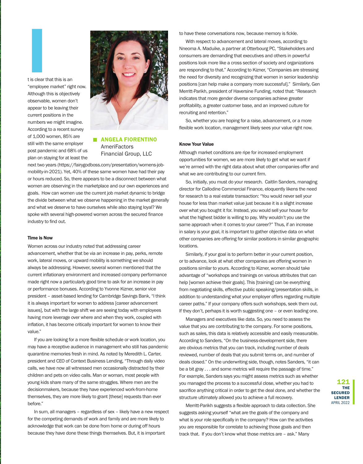t is clear that this is an "employee market" right now. Although this is objectively observable, women don't appear to be leaving their current positions in the numbers we might imagine. According to a recent survey of 1,000 women, 85% are still with the same employer post pandemic and 68% of us plan on staying for at least the I<br>I<br>It is clear t



**ANGELA FIORENTINO AmeriFactors** Financial Group, LLC

next two years (https://fairygodboss.com/presentation/womens-jobmobility-in-2021). Yet, 40% of these same women have had their pay or hours reduced. So, there appears to be a disconnect between what women are observing in the marketplace and our own experiences and goals. How can women use the current job market dynamic to bridge the divide between what we observe happening in the market generally and what we deserve to have ourselves while also staying loyal? We spoke with several high-powered women across the secured finance industry to find out.

#### Time is Now

Women across our industry noted that addressing career advancement, whether that be via an increase in pay, perks, remote work, lateral moves, or upward mobility is something we should always be addressing. However, several women mentioned that the current inflationary environment and increased company performance made right now a particularly good time to ask for an increase in pay or performance bonuses. According to Yvonne Kizner, senior vice president – asset-based lending for Cambridge Savings Bank, "I think it is always important for women to address [career advancement issues], but with the large shift we are seeing today with employees having more leverage over where and when they work, coupled with inflation, it has become critically important for women to know their value."

If you are looking for a more flexible schedule or work location, you may have a receptive audience in management who still has pandemic quarantine memories fresh in mind. As noted by Meredith L. Carter, president and CEO of Context Business Lending, "Through daily video calls, we have now all witnessed men occasionally distracted by their children and pets on video calls. Man or woman, most people with young kids share many of the same struggles. Where men are the decisionmakers, because they have experienced work-from-home themselves, they are more likely to grant [these] requests than ever before."

In sum, all managers – regardless of sex – likely have a new respect for the competing demands of work and family and are more likely to acknowledge that work can be done from home or during off hours because they have done these things themselves. But, it is important

to have these conversations now, because memory is fickle.

With respect to advancement and lateral moves, according to Nneoma A. Maduike, a partner at Otterbourg PC, "Stakeholders and consumers are demanding that executives and others in powerful positions look more like a cross section of society and organizations are responding to that." According to Kizner, "Companies are stressing the need for diversity and recognizing that women in senior leadership positions [can help make a company more successful]." Similarly, Gen Merritt-Parikh, president of Haversine Funding, noted that: "Research indicates that more gender diverse companies achieve greater profitability, a greater customer base, and an improved culture for recruiting and retention."

So, whether you are hoping for a raise, advancement, or a more flexible work location, management likely sees your value right now.

#### Know Your Value

Although market conditions are ripe for increased employment opportunities for women, we are more likely to get what we want if we're armed with the right data about what other companies offer and what we are contributing to our current firm.

So, initially, you must do your research. Caitlin Sanders, managing director for Callodine Commercial Finance, eloquently likens the need for research to a real estate transaction: "You would never sell your house for less than market value just because it is a slight increase over what you bought it for. Instead, you would sell your house for what the highest bidder is willing to pay. Why wouldn't you use the same approach when it comes to your career?" Thus, if an increase in salary is your goal, it is important to gather objective data on what other companies are offering for similar positions in similar geographic locations.

Similarly, if your goal is to perform better in your current position, or to advance, look at what other companies are offering women in positions similar to yours. According to Kizner, women should take advantage of "workshops and trainings on various attributes that can help [women achieve their goals]. This [training] can be everything from negotiating skills, effective public speaking/presentation skills, in addition to understanding what your employer offers regarding multiple career paths." If your company offers such workshops, seek them out. If they don't, perhaps it is worth suggesting one – or even leading one.

Managers and executives like data. So, you need to assess the value that you are contributing to the company. For some positions, such as sales, this data is relatively accessible and easily measurable. According to Sanders, "On the business-development side, there are obvious metrics that you can track, including number of deals reviewed, number of deals that you submit terms on, and number of deals closed." On the underwriting side, though, notes Sanders, "it can be a bit gray . . . and some metrics will require the passage of time." For example, Sanders says you might assess metrics such as whether you managed the process to a successful close, whether you had to sacrifice anything critical in order to get the deal done, and whether the structure ultimately allowed you to achieve a full recovery.

Merritt-Parikh suggests a flexible approach to data collection. She suggests asking yourself "what are the goals of the company and what is your role specifically in the company? How can the activities you are responsible for correlate to achieving those goals and then track that. If you don't know what those metrics are – ask." Many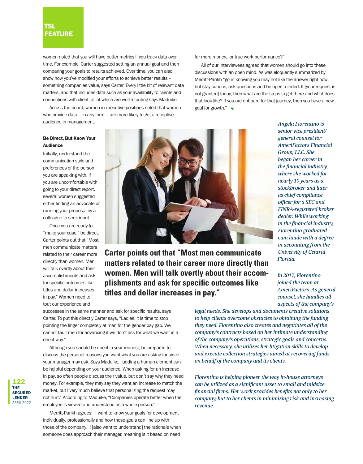### TSL **FEATURE**

women noted that you will have better metrics if you track data over time. For example, Carter suggested setting an annual goal and then comparing your goals to results achieved. Over time, you can also show how you've modified your efforts to achieve better results – something companies value, says Carter. Every little bit of relevant data matters, and that includes data such as your availability to clients and connections with client, all of which are worth touting says Maduike.

Across the board, women in executive positions noted that women who provide data – in any form – are more likely to get a receptive audience in management.

#### for more money…or true work performance?"

All of our interviewees agreed that women should go into these discussions with an open mind. As was eloquently summarized by Merritt-Parikh "go in knowing you may not like the answer right now, but stay curious, ask questions and be open minded. If [your request is not granted] today, then what are the steps to get there and what does that look like? If you are onboard for that journey, then you have a new goal for growth."

#### Be Direct, But Know Your Audience

Initially, understand the communication style and preferences of the person you are speaking with. If you are uncomfortable with going to your direct report, several women suggested either finding an advocate or running your proposal by a colleague to seek input.

Once you are ready to "make your case," be direct. Carter points out that "Most men communicate matters related to their career more directly than women. Men will talk overtly about their accomplishments and ask for specific outcomes like titles and dollar increases in pay." Women need to tout our experience and



**Carter points out that "Most men communicate matters related to their career more directly than women. Men will talk overtly about their accomplishments and ask for specific outcomes like titles and dollar increases in pay."** 

successes in the same manner and ask for specific results, says Carter. To put this directly Carter says, "Ladies, it is time to stop pointing the finger completely at men for the gender pay gap. We cannot fault men for advancing if we don't ask for what we want in a direct way."

Although you should be direct in your request, be prepared to discuss the personal reasons you want what you are asking for since your manager may ask. Says Maduike, "adding a human element can be helpful depending on your audience. When asking for an increase in pay, so often people discuss their value, but don't say why they need money. For example, they may say they want an increase to match the market, but I very much believe that personalizing the request may not hurt." According to Maduike, "Companies operate better when the employee is viewed and understood as a whole person."

Merritt-Parikh agrees: "I want to know your goals for development individually, professionally and how those goals can line up with those of the company. I [also want to understand] the rationale when someone does approach their manager, meaning is it based on need

*senior vice president/ general counsel for AmeriFactors Financial Group, LLC. She began her career in the financial industry, where she worked for nearly 10 years as a stockbroker and later as chief compliance officer for a SEC and FINRA-registered broker dealer. While working in the financial industry, Fiorentino graduated cum laude with a degree in accounting from the University of Central Florida.* 

*Angela Fiorentino is* 

*In 2017, Fiorentino joined the team at AmeriFactors. As general counsel, she handles all aspects of the company's* 

*legal needs. She develops and documents creative solutions to help clients overcome obstacles to obtaining the funding they need. Fiorentino also creates and negotiates all of the company's contracts based on her intimate understanding of the company's operations, strategic goals and concerns. When necessary, she utilizes her litigation skills to develop and execute collection strategies aimed at recovering funds on behalf of the company and its clients.*

*Fiorentino is helping pioneer the way in-house attorneys can be utilized as a significant asset to small and midsize financial firms. Her work provides benefits not only to her company, but to her clients in minimizing risk and increasing revenue.*

122 THE **SECURED** LENDER APRIL 2022